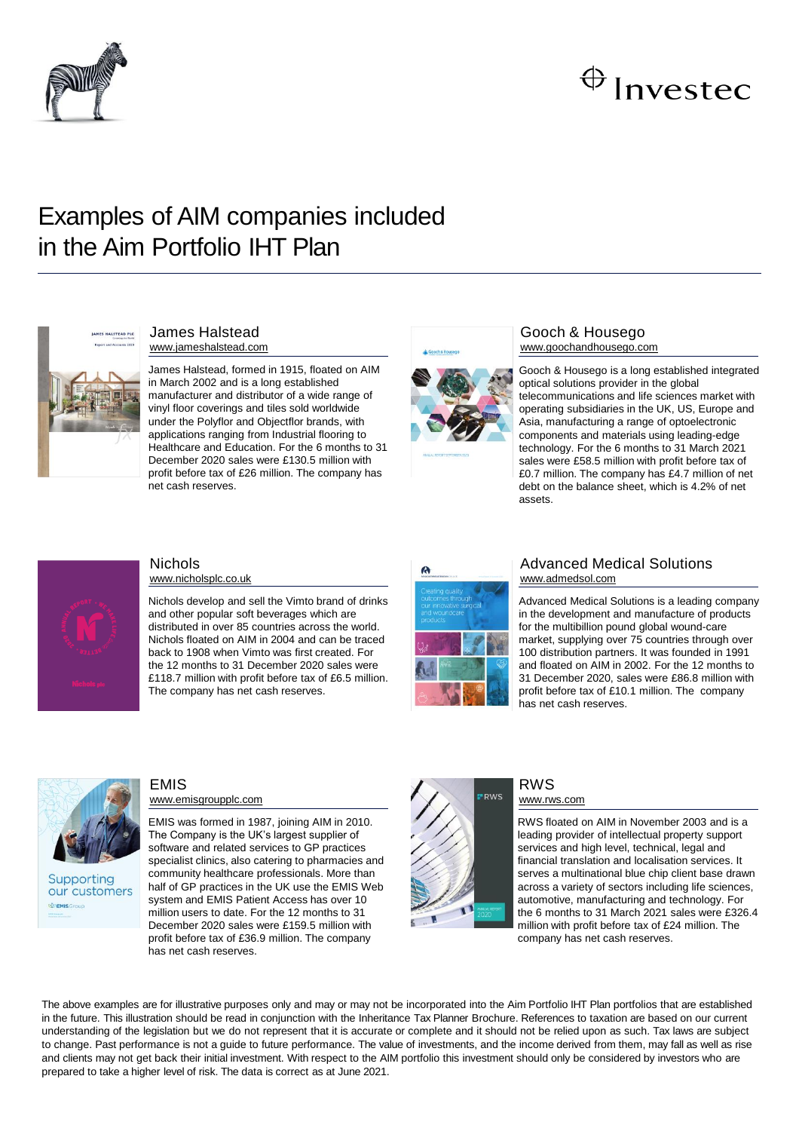

## $\bigoplus$  Investec

## Examples of AIM companies included in the Aim Portfolio IHT Plan



#### James Halstead www.jameshalstead.com

James Halstead, formed in 1915, floated on AIM in March 2002 and is a long established manufacturer and distributor of a wide range of vinyl floor coverings and tiles sold worldwide under the Polyflor and Objectflor brands, with applications ranging from Industrial flooring to Healthcare and Education. For the 6 months to 31 December 2020 sales were £130.5 million with profit before tax of £26 million. The company has net cash reserves.



## Gooch & Housego www.goochandhousego.com

Gooch & Housego is a long established integrated optical solutions provider in the global telecommunications and life sciences market with operating subsidiaries in the UK, US, Europe and Asia, manufacturing a range of optoelectronic components and materials using leading-edge technology. For the 6 months to 31 March 2021 sales were £58.5 million with profit before tax of £0.7 million. The company has £4.7 million of net debt on the balance sheet, which is 4.2% of net assets.



## **Nichols**

www.nicholsplc.co.uk

Nichols develop and sell the Vimto brand of drinks and other popular soft beverages which are distributed in over 85 countries across the world. Nichols floated on AIM in 2004 and can be traced back to 1908 when Vimto was first created. For the 12 months to 31 December 2020 sales were £118.7 million with profit before tax of £6.5 million. The company has net cash reserves.



### Advanced Medical Solutions www.admedsol.com

Advanced Medical Solutions is a leading company in the development and manufacture of products for the multibillion pound global wound-care market, supplying over 75 countries through over 100 distribution partners. It was founded in 1991 and floated on AIM in 2002. For the 12 months to 31 December 2020, sales were £86.8 million with profit before tax of £10.1 million. The company has net cash reserves.



Supporting our customers **WEMISG** 

## EMIS www.emisgroupplc.com

EMIS was formed in 1987, joining AIM in 2010. The Company is the UK's largest supplier of software and related services to GP practices specialist clinics, also catering to pharmacies and community healthcare professionals. More than half of GP practices in the UK use the EMIS Web system and EMIS Patient Access has over 10 million users to date. For the 12 months to 31 December 2020 sales were £159.5 million with profit before tax of £36.9 million. The company has net cash reserves.



### RWS www.rws.com

RWS floated on AIM in November 2003 and is a leading provider of intellectual property support services and high level, technical, legal and financial translation and localisation services. It serves a multinational blue chip client base drawn across a variety of sectors including life sciences, automotive, manufacturing and technology. For the 6 months to 31 March 2021 sales were £326.4 million with profit before tax of £24 million. The company has net cash reserves.

The above examples are for illustrative purposes only and may or may not be incorporated into the Aim Portfolio IHT Plan portfolios that are established in the future. This illustration should be read in conjunction with the Inheritance Tax Planner Brochure. References to taxation are based on our current understanding of the legislation but we do not represent that it is accurate or complete and it should not be relied upon as such. Tax laws are subject to change. Past performance is not a guide to future performance. The value of investments, and the income derived from them, may fall as well as rise and clients may not get back their initial investment. With respect to the AIM portfolio this investment should only be considered by investors who are prepared to take a higher level of risk. The data is correct as at June 2021.